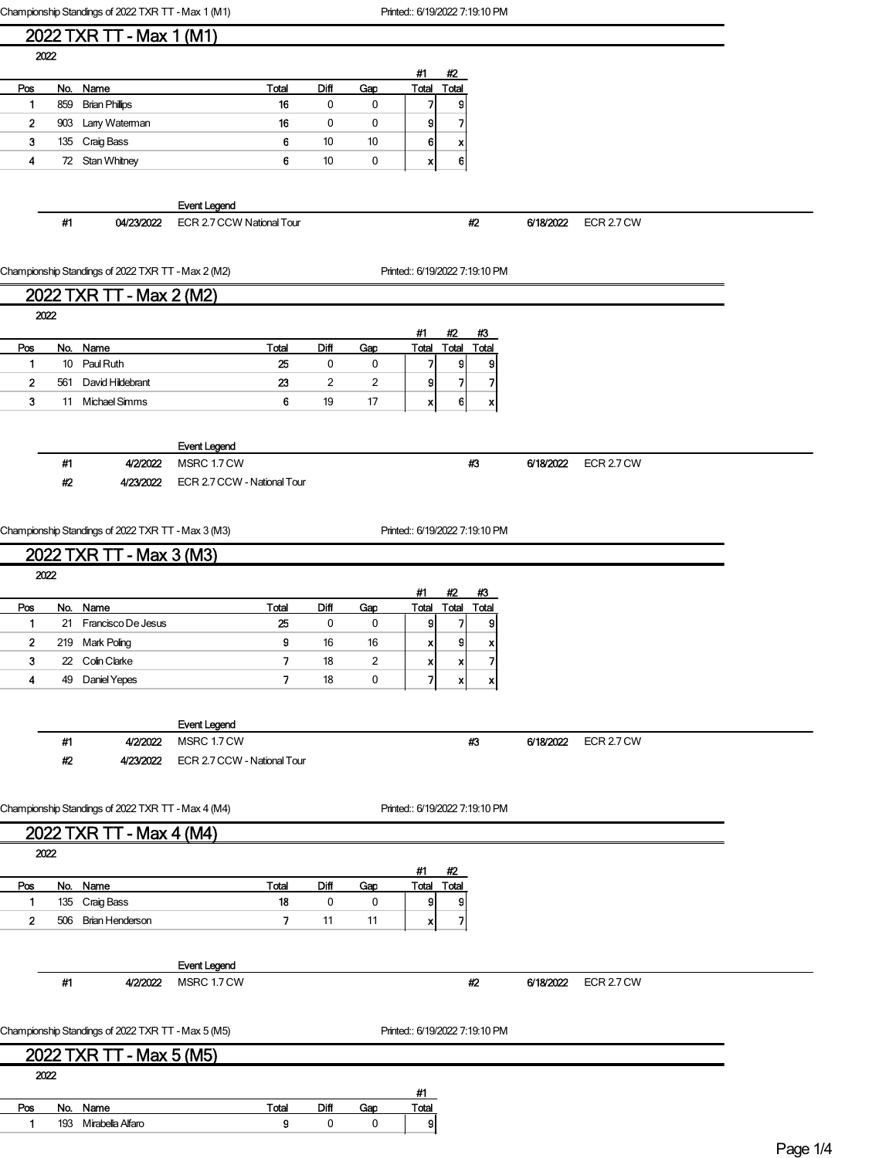Championship Standings of 2022 TXR TT - Max 1 (M1) Printed:: 6/19/2022 7:19:10 PM

| 2022 TXR TT - Max 1 (M1) |  |  |  |
|--------------------------|--|--|--|
|                          |  |  |  |

|     |                       |                                           |      |     | #1    | #2                |
|-----|-----------------------|-------------------------------------------|------|-----|-------|-------------------|
|     |                       | Total                                     | Diff | Gap | Total | Total             |
| 859 | <b>Brian Phillips</b> | 16                                        | 0    | 0   |       | g                 |
| 903 | Larry Waterman        | 16                                        |      | 0   | 9     | $\overline{7}$    |
| 135 |                       | 6                                         | 10   | 10  |       | x                 |
|     |                       | 6                                         | 10   | 0   | л     | 6                 |
|     |                       | No. Name<br>Craig Bass<br>72 Stan Whitney |      |     |       | 6<br>$\mathbf{v}$ |

Event Legend

#1 04/23/2022 ECR 2.7 CCW National Tour #2 6/18/2022 ECR 2.7 CW

#3 6/18/2022 ECR 2.7 CW

Championship Standings of 2022 TXR TT - Max 2 (M2) Printed:: 6/19/2022 7:19:10 PM

## 2022 TXR TT - Max 2 (M2)

|     |                  |                       |      |     | #1 | #2    | #3              |
|-----|------------------|-----------------------|------|-----|----|-------|-----------------|
|     |                  | Total                 | Diff | Gap |    | 'otal | Total           |
| 10  |                  | 25                    |      | 0   |    | g     | 9               |
| 561 | David Hildebrant | 23                    | 2    | 2   |    |       |                 |
| 11  | Michael Simms    | 6                     | 19   | 17  |    | 6     | x               |
|     | 2022             | No. Name<br>Paul Ruth |      |     |    |       | Total<br>9<br>x |

Pos No. Name Total Diff Gap Total 1 193 Mirabella Alfaro 9 0 0 9

|    |           | <b>Event Legend</b>         |
|----|-----------|-----------------------------|
| #1 | 41212022  | MSRC 1.7 CW                 |
| #2 | 4/23/2022 | ECR 2.7 CCW - National Tour |

Championship Standings of 2022 TXR TT - Max 3 (M3) Printed:: 6/19/2022 7:19:10 PM

|                |      | 2022 TXR TT - Max 3 (M3)                           |                             |                |             |                |                                |             |                           |           |            |  |
|----------------|------|----------------------------------------------------|-----------------------------|----------------|-------------|----------------|--------------------------------|-------------|---------------------------|-----------|------------|--|
|                | 2022 |                                                    |                             |                |             |                |                                |             |                           |           |            |  |
| Pos            |      | No. Name                                           |                             | Total          | Diff        | Gap            | #1<br>Total                    | #2<br>Total | #3<br><b>Total</b>        |           |            |  |
| $\mathbf{1}$   |      | 21 Francisco De Jesus                              |                             | 25             | $\mathbf 0$ | $\mathbf 0$    | 9                              | 71          | 9                         |           |            |  |
| $\mathbf{2}$   |      | 219 Mark Poling                                    |                             | 9              | 16          | 16             | x                              | 9           | ×                         |           |            |  |
| 3              |      | 22 Colin Clarke                                    |                             | 7              | 18          | $\overline{c}$ | x                              | ×           | $\overline{\mathbf{z}}$   |           |            |  |
| 4              | 49   | Daniel Yepes                                       |                             | 7              | 18          | 0              | 7                              | x           | $\boldsymbol{\mathsf{x}}$ |           |            |  |
|                |      |                                                    |                             |                |             |                |                                |             |                           |           |            |  |
|                |      |                                                    | <b>Event Legend</b>         |                |             |                |                                |             |                           |           |            |  |
|                | #1   | 4/2/2022                                           | MSRC 1.7 CW                 |                |             |                |                                | #3          |                           | 6/18/2022 | ECR 2.7 CW |  |
|                | #2   | 4/23/2022                                          | ECR 2.7 CCW - National Tour |                |             |                |                                |             |                           |           |            |  |
|                |      |                                                    |                             |                |             |                |                                |             |                           |           |            |  |
|                |      | Championship Standings of 2022 TXR TT - Max 4 (M4) |                             |                |             |                | Printed:: 6/19/2022 7:19:10 PM |             |                           |           |            |  |
|                |      | 2022 TXR TT - Max 4 (M4)                           |                             |                |             |                |                                |             |                           |           |            |  |
|                | 2022 |                                                    |                             |                |             |                |                                |             |                           |           |            |  |
|                |      |                                                    |                             |                |             |                | #1                             | #2          |                           |           |            |  |
| Pos            | No.  | Name                                               |                             | Total          | Diff        | Gap            | <b>Total Total</b>             |             |                           |           |            |  |
| $\blacksquare$ | 135  | Craig Bass                                         |                             | 18             | $\mathbf 0$ | $\mathbf 0$    | $\mathsf{g}$                   | 9           |                           |           |            |  |
| $\overline{2}$ |      | 506 Brian Henderson                                |                             | $\overline{7}$ | 11          | 11             | xl                             | 71          |                           |           |            |  |
|                |      |                                                    |                             |                |             |                |                                |             |                           |           |            |  |
|                |      |                                                    | <b>Event Legend</b>         |                |             |                |                                |             |                           |           |            |  |
|                | #1   | 4/2/2022                                           | MSRC 1.7 CW                 |                |             |                |                                | #2          |                           | 6/18/2022 | ECR 2.7 CW |  |
|                |      |                                                    |                             |                |             |                |                                |             |                           |           |            |  |
|                |      | Championship Standings of 2022 TXR TT - Max 5 (M5) |                             |                |             |                | Printed:: 6/19/2022 7:19:10 PM |             |                           |           |            |  |
|                |      | 2022 TXR TT - Max 5 (M5)                           |                             |                |             |                |                                |             |                           |           |            |  |
|                | 2022 |                                                    |                             |                |             |                |                                |             |                           |           |            |  |
|                |      |                                                    |                             |                |             |                | #1                             |             |                           |           |            |  |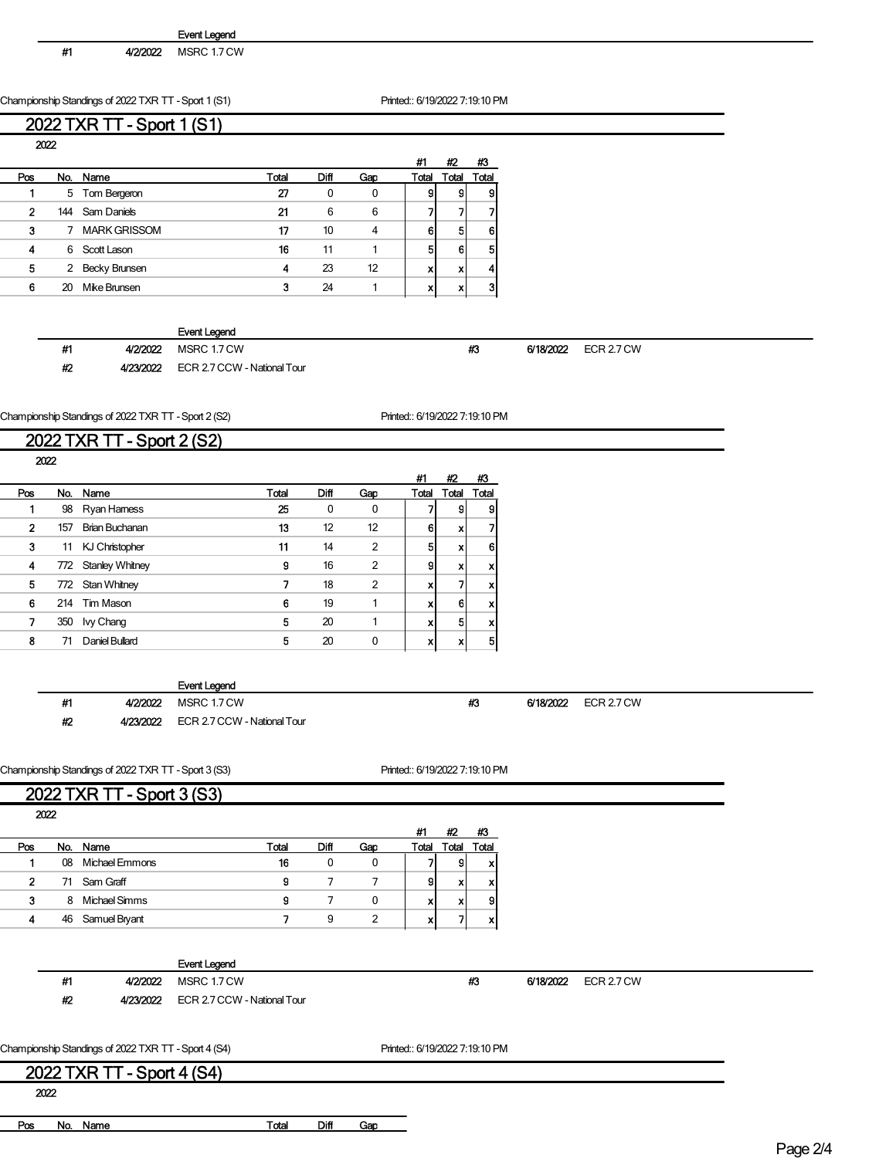| Event Legend |  |
|--------------|--|
|--------------|--|

#1 4/2/2022 MSRC 1.7 CW

Championship Standings of 2022 TXR TT - Sport 1 (S1) Printed:: 6/19/2022 7:19:10 PM

## 2022 TXR TT - Sport 1 (S1)

 $2022$ 

|     | <b>AIZZ</b> |                     |       |      |     |       |       |       |
|-----|-------------|---------------------|-------|------|-----|-------|-------|-------|
|     |             |                     |       |      |     | #1    | #2    | #3    |
| Pos |             | No. Name            | Total | Diff | Gap | Total | Total | Total |
|     |             | 5 Tom Bergeron      | 27    | 0    | 0   | 9     | g     | 9     |
| 2   | 144         | Sam Daniels         | 21    | 6    | 6   |       |       |       |
| 3   | 7           | <b>MARK GRISSOM</b> | 17    | 10   | 4   | 6     | 5     | 61    |
| 4   | 6           | Scott Lason         | 16    | 11   |     | 5     | 6     | 51    |
| 5   | 2           | Becky Brunsen       | 4     | 23   | 12  | x     | v     | 41    |
| 6   | 20          | Mike Brunsen        | 3     | 24   |     | x     |       | 31    |
|     |             |                     |       |      |     |       |       |       |

|    |           | Event Legend                |   |           |            |
|----|-----------|-----------------------------|---|-----------|------------|
| #1 | 4/2/2022  | MSRC 1.7 CW                 | ж | 6/18/2022 | ECR 2.7 CW |
| #2 | 4/23/2022 | ECR 2.7 CCW - National Tour |   |           |            |

Championship Standings of 2022 TXR TT - Sport 2 (S2) Printed:: 6/19/2022 7:19:10 PM

## 2022 TXR TT - Sport 2 (S2)

|     | 2022 |                       |       |      |                |       |       |       |
|-----|------|-----------------------|-------|------|----------------|-------|-------|-------|
|     |      |                       |       |      |                | #1    | #2    | #3    |
| Pos |      | No. Name              | Total | Diff | Gap            | Total | Total | Total |
|     | 98   | Ryan Hamess           | 25    | 0    | 0              |       | g     | 9     |
| 2   | 157  | <b>Brian Buchanan</b> | 13    | 12   | 12             | 6     | X     |       |
| 3   | 11   | KJ Christopher        | 11    | 14   | $\overline{2}$ | 5     | X     | 6     |
| 4   |      | 772 Stanley Whitney   | 9     | 16   | $\overline{2}$ | 9     | X     | x     |
| 5   |      | 772 Stan Whitney      | 7     | 18   | $\overline{2}$ | x     |       | x     |
| 6   |      | 214 Tim Mason         | 6     | 19   |                | XI    | 6     | x     |
| 7   | 350  | <b>Ivy Chang</b>      | 5     | 20   |                | XI    | 5     | x     |
| 8   | 71   | Daniel Bullard        | 5     | 20   | 0              | x     | X     | 5     |
|     |      |                       |       |      |                |       |       |       |

|    |           | <b>Event Legend</b>         |    |           |                   |  |
|----|-----------|-----------------------------|----|-----------|-------------------|--|
| #1 | 4/2/2022  | MSRC 1.7 CW                 | #3 | 6/18/2022 | <b>ECR 2.7 CW</b> |  |
| #2 | 4/23/2022 | ECR 2.7 CCW - National Tour |    |           |                   |  |

Championship Standings of 2022 TXR TT - Sport 3 (S3) Printed:: 6/19/2022 7:19:10 PM

## 2022 TXR TT - Sport 3 (S3)

| 2022         |    |                |       |      |     |       |      |       |
|--------------|----|----------------|-------|------|-----|-------|------|-------|
|              |    |                |       |      |     | #1    | #2   | #3    |
| Pos          |    | No. Name       | Total | Diff | Gao | Total | 'ota | Total |
|              | 08 | Michael Emmons | 16    | 0    | 0   |       | g    | x     |
| $\mathbf{2}$ |    | 71 Sam Graff   | 9     |      |     | 9     | x    | x     |
| 3            | 8  | Michael Simms  | g     |      | 0   | x     | x    | g     |
| 4            | 46 | Samuel Bryant  |       | 9    | 2   | x     |      | x     |
|              |    |                |       |      |     |       |      |       |

|      |                                                      | <b>Event Legend</b>         |                                |           |            |
|------|------------------------------------------------------|-----------------------------|--------------------------------|-----------|------------|
| #1   | 4/2/2022                                             | MSRC 1.7 CW                 | #3                             | 6/18/2022 | ECR 2.7 CW |
| #2   | 4/23/2022                                            | ECR 2.7 CCW - National Tour |                                |           |            |
|      |                                                      |                             |                                |           |            |
|      | Championship Standings of 2022 TXR TT - Sport 4 (S4) |                             | Printed:: 6/19/2022 7:19:10 PM |           |            |
|      | 2022 TXR TT - Sport 4 (S4)                           |                             |                                |           |            |
| 2022 |                                                      |                             |                                |           |            |
|      |                                                      |                             |                                |           |            |

Pos No. Name Total Diff Gap

Page 2/4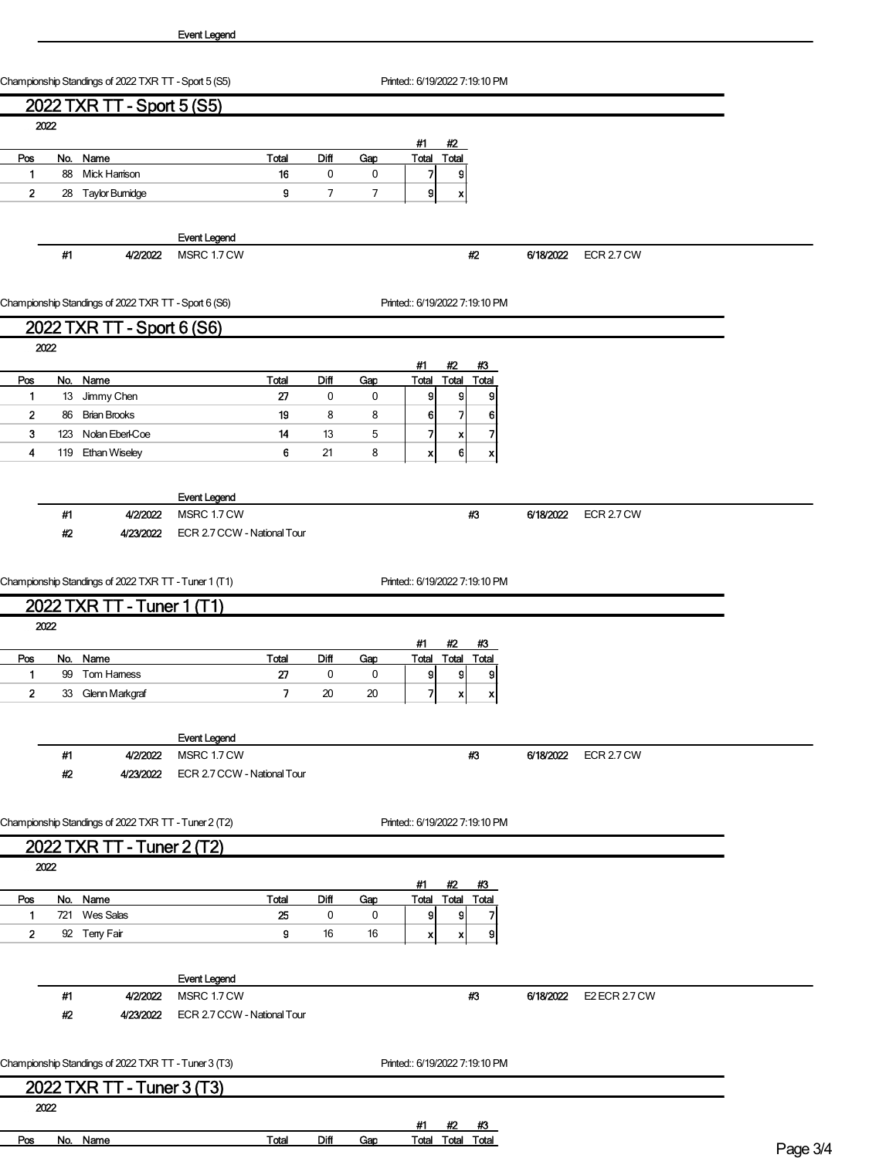Championship Standings of 2022 TXR TT - Sport 5 (S5) Printed:: 6/19/2022 7:19:10 PM

|              |       | 2022 TXR TT - Sport 5 (S5)                           |                             |             |     |                                                  |           |                      |  |
|--------------|-------|------------------------------------------------------|-----------------------------|-------------|-----|--------------------------------------------------|-----------|----------------------|--|
|              | 2022  |                                                      |                             |             |     |                                                  |           |                      |  |
|              |       |                                                      |                             |             |     | #1<br>#2                                         |           |                      |  |
| Pos          |       | No. Name                                             | <b>Total</b>                | <b>Diff</b> | Gap | Total<br>Total                                   |           |                      |  |
| $\mathbf{1}$ |       | 88 Mick Harrison                                     | 16                          | 0           | 0   | 7<br> 9                                          |           |                      |  |
| $\mathbf{2}$ |       | 28 Taylor Bumidge                                    | 9                           | 7           | 7   | 9<br>X                                           |           |                      |  |
|              |       |                                                      |                             |             |     |                                                  |           |                      |  |
|              |       |                                                      | <b>Event Legend</b>         |             |     |                                                  |           |                      |  |
|              | #1    | 4/2/2022                                             | MSRC 1.7 CW                 |             |     | #2                                               | 6/18/2022 | ECR 2.7 CW           |  |
|              |       |                                                      |                             |             |     |                                                  |           |                      |  |
|              |       |                                                      |                             |             |     |                                                  |           |                      |  |
|              |       | Championship Standings of 2022 TXR TT - Sport 6 (S6) |                             |             |     | Printed:: 6/19/2022 7:19:10 PM                   |           |                      |  |
|              |       | 2022 TXR TT - Sport 6 (S6)                           |                             |             |     |                                                  |           |                      |  |
|              | 2022  |                                                      |                             |             |     |                                                  |           |                      |  |
|              |       |                                                      |                             |             |     | #2<br>#1<br>#3                                   |           |                      |  |
| Pos          |       | No. Name                                             | Total                       | Diff        | Gap | Total<br>Total<br>Total                          |           |                      |  |
| $\mathbf{1}$ |       | 13 Jimmy Chen                                        | 27                          | $\pmb{0}$   | 0   | $\vert$<br>9<br>9                                |           |                      |  |
| $\mathbf{2}$ |       | 86 Brian Brooks                                      | 19                          | 8           | 8   | 7<br>6 <br>6                                     |           |                      |  |
| 3            |       | 123 Nolan Eberl-Coe                                  | 14                          | 13          | 5   | 7<br>7<br>X                                      |           |                      |  |
| 4            |       | 119 Ethan Wiseley                                    | 6                           | 21          | 8   | 6 <sup>1</sup><br>x<br>$\boldsymbol{\mathsf{x}}$ |           |                      |  |
|              |       |                                                      |                             |             |     |                                                  |           |                      |  |
|              |       |                                                      | <b>Event Legend</b>         |             |     |                                                  |           |                      |  |
|              | #1    | 4/2/2022                                             | MSRC 1.7 CW                 |             |     | #3                                               | 6/18/2022 | ECR 2.7 CW           |  |
|              | $\#2$ | 4/23/2022                                            | ECR 2.7 CCW - National Tour |             |     |                                                  |           |                      |  |
|              |       |                                                      |                             |             |     |                                                  |           |                      |  |
|              |       |                                                      |                             |             |     |                                                  |           |                      |  |
|              |       | Championship Standings of 2022 TXR TT - Tuner 1 (T1) |                             |             |     | Printed:: 6/19/2022 7:19:10 PM                   |           |                      |  |
|              |       | 2022 TXR TT - Tuner 1 (T1)                           |                             |             |     |                                                  |           |                      |  |
|              | 2022  |                                                      |                             |             |     |                                                  |           |                      |  |
|              |       |                                                      |                             |             |     | #1<br>#2<br>#3                                   |           |                      |  |
| Pos          |       | No. Name                                             | <b>Total</b>                | Diff        | Gap | <b>Total Total Total</b>                         |           |                      |  |
| $\mathbf{1}$ |       | 99 Tom Hamess                                        | 27                          | $\pmb{0}$   | 0   | $\mathbf{g}$<br> 9 <br>9                         |           |                      |  |
| $\mathbf{2}$ |       | 33 Glenn Markgraf                                    | 7                           | 20          | 20  | 71<br>$\boldsymbol{x}$<br>x                      |           |                      |  |
|              |       |                                                      |                             |             |     |                                                  |           |                      |  |
|              |       |                                                      | <b>Event Legend</b>         |             |     |                                                  |           |                      |  |
|              | #1    | 4/2/2022                                             | MSRC 1.7 CW                 |             |     | #3                                               | 6/18/2022 | ECR 2.7 CW           |  |
|              | #2    | 4/23/2022                                            | ECR 2.7 CCW - National Tour |             |     |                                                  |           |                      |  |
|              |       |                                                      |                             |             |     |                                                  |           |                      |  |
|              |       |                                                      |                             |             |     |                                                  |           |                      |  |
|              |       | Championship Standings of 2022 TXR TT - Tuner 2 (T2) |                             |             |     | Printed:: 6/19/2022 7:19:10 PM                   |           |                      |  |
|              |       | 2022 TXR TT - Tuner 2 (T2)                           |                             |             |     |                                                  |           |                      |  |
|              | 2022  |                                                      |                             |             |     |                                                  |           |                      |  |
|              |       |                                                      |                             |             |     | #1<br>#2<br>#3                                   |           |                      |  |
| Pos          |       | No. Name                                             | <b>Total</b>                | <b>Diff</b> | Gap | Total<br><b>Total Total</b>                      |           |                      |  |
| $\mathbf{1}$ |       | 721 Wes Salas                                        | 25                          | $\pmb{0}$   | 0   | 9<br>9<br>7                                      |           |                      |  |
| $\mathbf{2}$ |       | 92 Teny Fair                                         | 9                           | 16          | 16  | $\boldsymbol{x}$<br>9<br>$\boldsymbol{x}$        |           |                      |  |
|              |       |                                                      |                             |             |     |                                                  |           |                      |  |
|              |       |                                                      |                             |             |     |                                                  |           |                      |  |
|              |       |                                                      | <b>Event Legend</b>         |             |     |                                                  |           |                      |  |
|              | #1    | 4/2/2022                                             | MSRC 1.7 CW                 |             |     | #3                                               | 6/18/2022 | <b>E2 ECR 2.7 CW</b> |  |
|              | #2    | 4/23/2022                                            | ECR 2.7 CCW - National Tour |             |     |                                                  |           |                      |  |
|              |       |                                                      |                             |             |     |                                                  |           |                      |  |
|              |       | Championship Standings of 2022 TXR TT - Tuner 3 (T3) |                             |             |     | Printed:: 6/19/2022 7:19:10 PM                   |           |                      |  |
|              |       |                                                      |                             |             |     |                                                  |           |                      |  |
|              |       | 2022 TXR TT - Tuner 3 (T3)                           |                             |             |     |                                                  |           |                      |  |
|              | 2022  |                                                      |                             |             |     |                                                  |           |                      |  |

#1 #2 #3 Pos No. Name Total Diff Gap Total Total Total Page 3/4